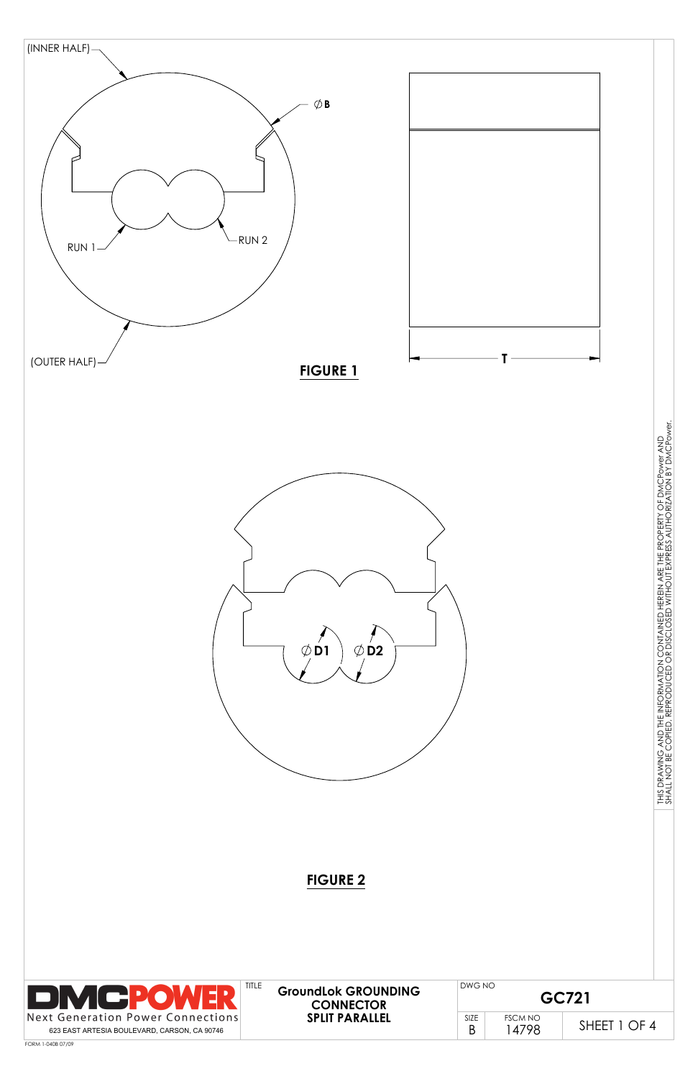

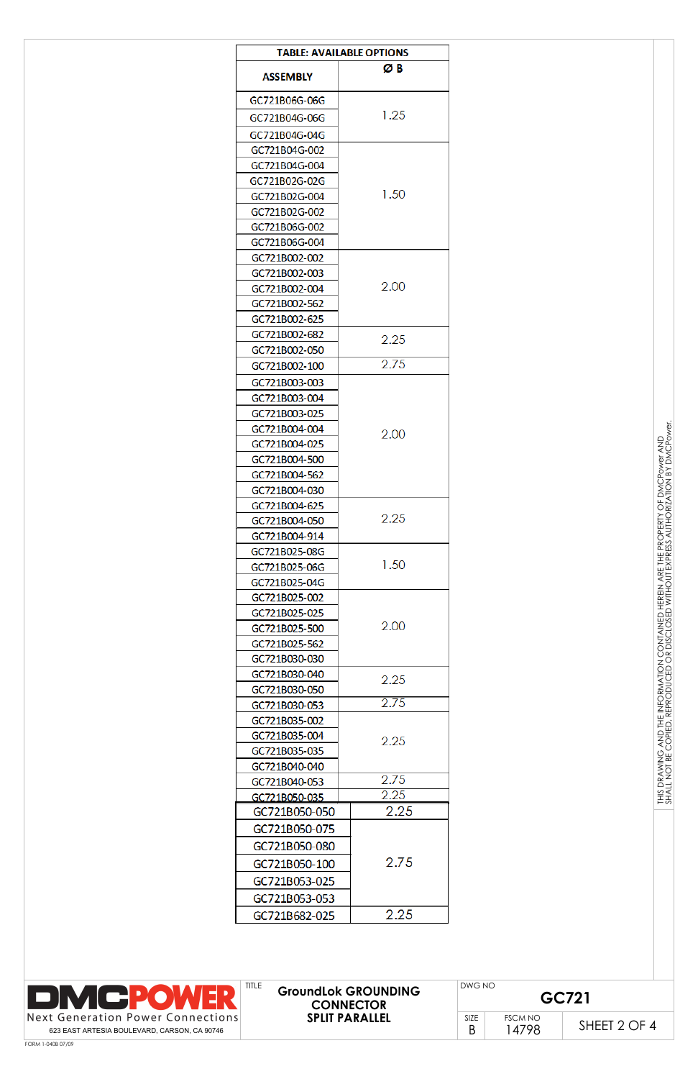| <b>TABLE: AVAILABLE OPTIONS</b> |      |  |  |  |
|---------------------------------|------|--|--|--|
|                                 | ØΒ   |  |  |  |
| <b>ASSEMBLY</b>                 |      |  |  |  |
| GC721B06G-06G                   |      |  |  |  |
| GC721B04G-06G                   | 1.25 |  |  |  |
| GC721B04G-04G                   |      |  |  |  |
| GC721B04G-002                   |      |  |  |  |
| GC721B04G-004                   |      |  |  |  |
| GC721B02G-02G                   |      |  |  |  |
| GC721B02G-004                   | 1.50 |  |  |  |
| GC721B02G-002                   |      |  |  |  |
| GC721B06G-002                   |      |  |  |  |
| GC721B06G-004                   |      |  |  |  |
| GC721B002-002                   |      |  |  |  |
| GC721B002-003                   |      |  |  |  |
| GC721B002-004                   | 2.00 |  |  |  |
| GC721B002-562                   |      |  |  |  |
| GC721B002-625                   |      |  |  |  |
| GC721B002-682                   | 2.25 |  |  |  |
| GC721B002-050                   |      |  |  |  |
| GC721B002-100                   | 2.75 |  |  |  |
| GC721B003-003                   |      |  |  |  |
| GC721B003-004                   |      |  |  |  |
| GC721B003-025                   |      |  |  |  |
| GC721B004-004                   | 2.00 |  |  |  |
| GC721B004-025                   |      |  |  |  |
| GC721B004-500                   |      |  |  |  |
| GC721B004-562                   |      |  |  |  |
| GC721B004-030                   |      |  |  |  |
| GC721B004-625                   |      |  |  |  |
| GC721B004-050                   | 2.25 |  |  |  |
| GC721B004-914                   |      |  |  |  |
| GC721B025-08G                   |      |  |  |  |
| GC721B025-06G                   | 1.50 |  |  |  |
| GC721B025-04G                   |      |  |  |  |
| GC721B025-002                   |      |  |  |  |
| GC721B025-025                   |      |  |  |  |
| GC721B025-500                   | 2.00 |  |  |  |
| GC721B025-562                   |      |  |  |  |
| GC721B030-030                   |      |  |  |  |
| GC721B030-040                   | 2.25 |  |  |  |
| GC721B030-050                   | 2.75 |  |  |  |
| GC721B030-053                   |      |  |  |  |
| GC721B035-002                   |      |  |  |  |
| GC721B035-004                   | 2.25 |  |  |  |
| GC721B035-035                   |      |  |  |  |
| GC721B040-040                   | 2.75 |  |  |  |
| GC721B040-053                   | 2.25 |  |  |  |
| GC721B050-035<br>GC721B050-050  | 2.25 |  |  |  |
|                                 |      |  |  |  |
| GC721B050-075                   |      |  |  |  |
| GC721B050-080                   |      |  |  |  |
| GC721B050-100                   | 2.75 |  |  |  |
| GC721B053-025                   |      |  |  |  |
| GC721B053-053                   |      |  |  |  |
| GC721B682-025                   | 2.25 |  |  |  |

토로

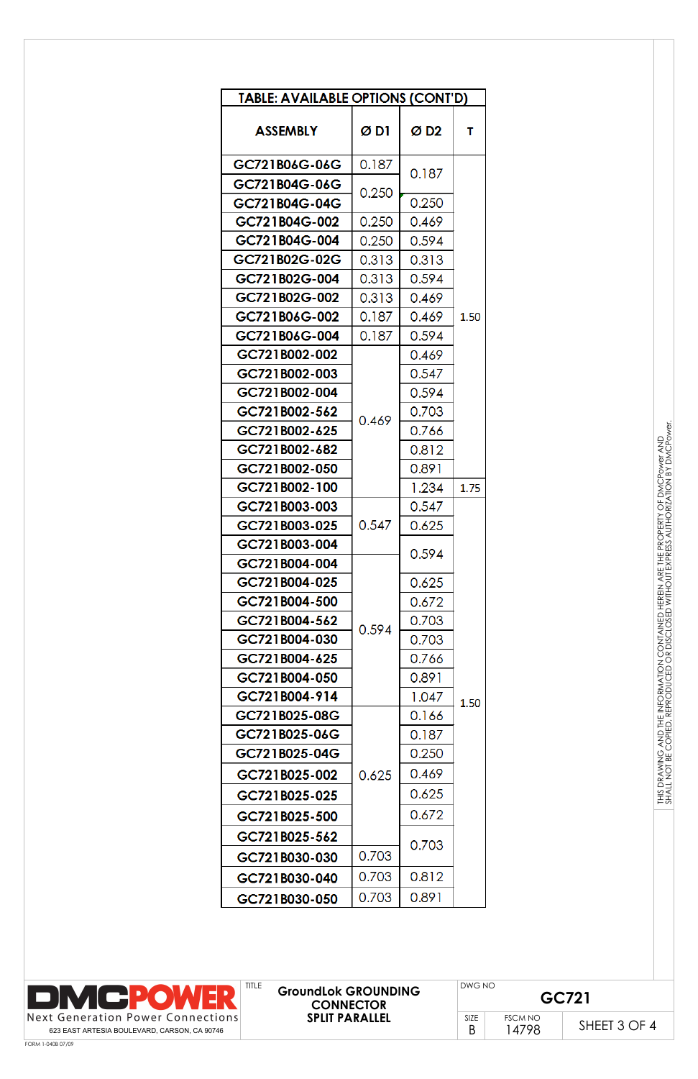| TABLE: AVAILABLE OPTIONS (CONT'D) |                |                 |      |  |  |
|-----------------------------------|----------------|-----------------|------|--|--|
| <b>ASSEMBLY</b>                   | Ø D1           | ØD <sub>2</sub> | т    |  |  |
| GC721B06G-06G                     | 0.187          | 0.187           |      |  |  |
| GC721B04G-06G                     | 0.250          |                 |      |  |  |
| GC721B04G-04G                     |                | 0.250           |      |  |  |
| GC721B04G-002                     | 0.250          | 0.469           |      |  |  |
| GC721B04G-004                     | 0.250          | 0.594           |      |  |  |
| GC721B02G-02G                     | 0.313          | 0.313           |      |  |  |
| GC721B02G-004                     | 0.313          | 0.594           |      |  |  |
| GC721B02G-002                     | 0.313          | 0.469           |      |  |  |
| GC721B06G-002                     | 0.187          | 0.469           | 1.50 |  |  |
| GC721B06G-004                     | 0.187          | 0.594           |      |  |  |
| GC721B002-002                     |                | 0.469           |      |  |  |
| GC721B002-003                     |                | 0.547           |      |  |  |
| GC721B002-004                     |                | 0.594           |      |  |  |
| GC721B002-562                     | 0.469          | 0.703           |      |  |  |
| GC721B002-625                     |                | 0.766           |      |  |  |
| GC721B002-682                     |                | 0.812           |      |  |  |
| GC721B002-050                     |                | 0.891           |      |  |  |
| GC721B002-100                     |                | 1.234           | 1.75 |  |  |
| GC721B003-003                     |                | 0.547           |      |  |  |
| GC721B003-025                     | 0.547          | 0.625           |      |  |  |
| GC721B003-004                     |                | 0.594           |      |  |  |
| GC721B004-004                     |                |                 |      |  |  |
| GC721B004-025                     |                | 0.625           |      |  |  |
| GC721B004-500                     |                | 0.672           |      |  |  |
| GC721B004-562                     | 0.594          | 0.703           |      |  |  |
| GC721B004-030                     |                | 0.703           |      |  |  |
| GC721B004-625                     |                | 0.766           |      |  |  |
| GC721B004-050                     |                | 0.891           |      |  |  |
| GC721B004-914                     |                | 1.047           | 1.50 |  |  |
| GC721B025-08G                     |                | 0.166           |      |  |  |
| GC721B025-06G                     |                | 0.187           |      |  |  |
| GC721B025-04G                     |                | 0.250           |      |  |  |
| GC721B025-002                     | 0.625          | 0.469           |      |  |  |
| GC721B025-025                     |                | 0.625           |      |  |  |
| GC721B025-500                     |                | 0.672           |      |  |  |
| GC721B025-562                     |                | 0.703           |      |  |  |
| GC721B030-030                     | 0.703          |                 |      |  |  |
| GC721B030-040                     | 0.703<br>0.812 |                 |      |  |  |
| GC721B030-050                     | 0.703          | 0.891           |      |  |  |

| <b>DMCPOWER</b>                                                                                   | <b>TITLE</b><br><b>GroundLok GROUNDING</b><br><b>CONNECTOR</b> |             | DWG NO<br>GC721        |              |
|---------------------------------------------------------------------------------------------------|----------------------------------------------------------------|-------------|------------------------|--------------|
| $\vert$ Next Generation Power Connections $\vert$<br>623 EAST ARTESIA BOULEVARD, CARSON, CA 90746 | <b>SPLIT PARALLEL</b>                                          | <b>SIZE</b> | <b>FSCM NO</b><br>4798 | SHEET 3 OF 4 |